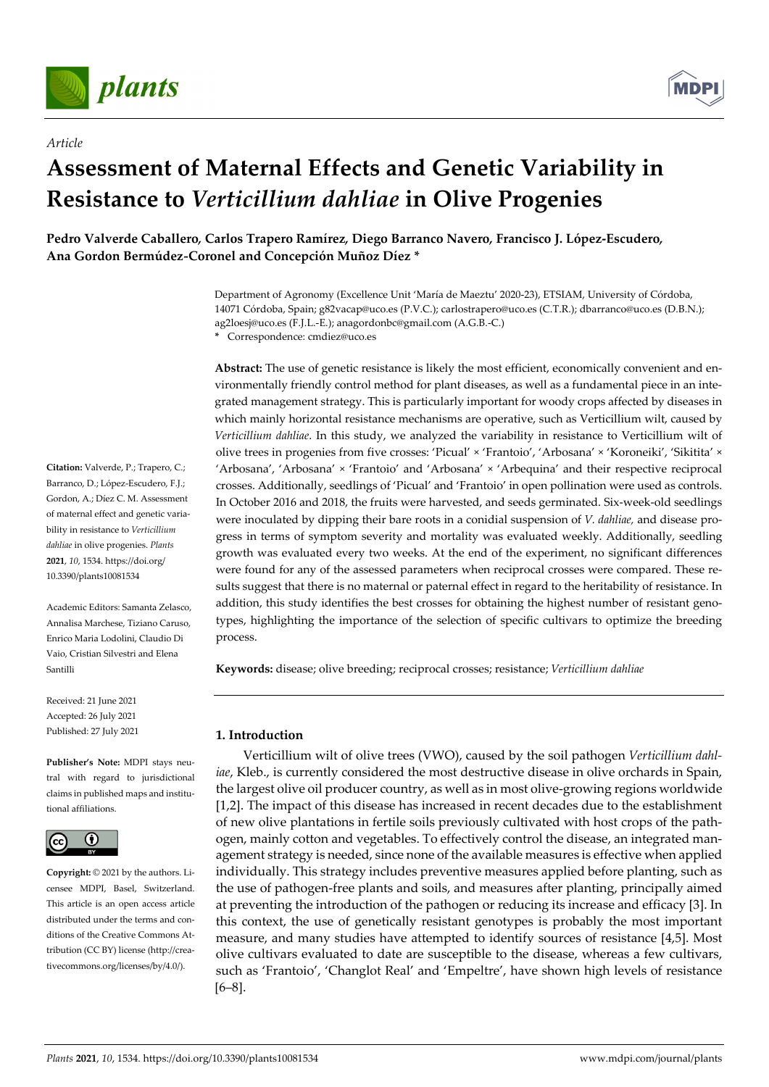

*Article* 



# **Assessment of Maternal Effects and Genetic Variability in Resistance to** *Verticillium dahliae* **in Olive Progenies**

**Pedro Valverde Caballero***,* **Carlos Trapero Ramírez***,* **Diego Barranco Navero***,* **Francisco J. López-Escudero***,*  **Ana Gordon Bermúdez***-***Coronel and Concepción Muñoz Díez \*** 

> Department of Agronomy (Excellence Unit 'María de Maeztu' 2020-23), ETSIAM, University of Córdoba, 14071 Córdoba, Spain; g82vacap@uco.es (P.V.C.); carlostrapero@uco.es (C.T.R.); dbarranco@uco.es (D.B.N.); ag2loesj@uco.es (F.J.L.-E.); anagordonbc@gmail.com (A.G.B.-C.)

**\*** Correspondence: cmdiez@uco.es

**Abstract:** The use of genetic resistance is likely the most efficient, economically convenient and environmentally friendly control method for plant diseases, as well as a fundamental piece in an integrated management strategy. This is particularly important for woody crops affected by diseases in which mainly horizontal resistance mechanisms are operative, such as Verticillium wilt, caused by *Verticillium dahliae*. In this study, we analyzed the variability in resistance to Verticillium wilt of olive trees in progenies from five crosses: 'Picual' × 'Frantoio', 'Arbosana' × 'Koroneiki', 'Sikitita' × 'Arbosana', 'Arbosana' × 'Frantoio' and 'Arbosana' × 'Arbequina' and their respective reciprocal crosses. Additionally, seedlings of 'Picual' and 'Frantoio' in open pollination were used as controls. In October 2016 and 2018, the fruits were harvested, and seeds germinated. Six-week-old seedlings were inoculated by dipping their bare roots in a conidial suspension of *V. dahliae,* and disease progress in terms of symptom severity and mortality was evaluated weekly. Additionally, seedling growth was evaluated every two weeks. At the end of the experiment, no significant differences were found for any of the assessed parameters when reciprocal crosses were compared. These results suggest that there is no maternal or paternal effect in regard to the heritability of resistance. In addition, this study identifies the best crosses for obtaining the highest number of resistant genotypes, highlighting the importance of the selection of specific cultivars to optimize the breeding process.

**Keywords:** disease; olive breeding; reciprocal crosses; resistance; *Verticillium dahliae*

# **1. Introduction**

Verticillium wilt of olive trees (VWO), caused by the soil pathogen *Verticillium dahliae*, Kleb., is currently considered the most destructive disease in olive orchards in Spain, the largest olive oil producer country, as well as in most olive-growing regions worldwide [1,2]. The impact of this disease has increased in recent decades due to the establishment of new olive plantations in fertile soils previously cultivated with host crops of the pathogen, mainly cotton and vegetables. To effectively control the disease, an integrated management strategy is needed, since none of the available measures is effective when applied individually. This strategy includes preventive measures applied before planting, such as the use of pathogen-free plants and soils, and measures after planting, principally aimed at preventing the introduction of the pathogen or reducing its increase and efficacy [3]. In this context, the use of genetically resistant genotypes is probably the most important measure, and many studies have attempted to identify sources of resistance [4,5]. Most olive cultivars evaluated to date are susceptible to the disease, whereas a few cultivars, such as 'Frantoio', 'Changlot Real' and 'Empeltre', have shown high levels of resistance [6–8].

**Citation:** Valverde, P.; Trapero, C.; Barranco, D.; López-Escudero, F.J.; Gordon, A.; Díez C. M. Assessment of maternal effect and genetic variability in resistance to *Verticillium dahliae* in olive progenies. *Plants*  **2021**, *10*, 1534. https://doi.org/ 10.3390/plants10081534

Academic Editors: Samanta Zelasco, Annalisa Marchese, Tiziano Caruso, Enrico Maria Lodolini, Claudio Di Vaio, Cristian Silvestri and Elena Santilli

Received: 21 June 2021 Accepted: 26 July 2021 Published: 27 July 2021

**Publisher's Note:** MDPI stays neutral with regard to jurisdictional claims in published maps and institutional affiliations.



**Copyright:** © 2021 by the authors. Licensee MDPI, Basel, Switzerland. This article is an open access article distributed under the terms and conditions of the Creative Commons Attribution (CC BY) license (http://creativecommons.org/licenses/by/4.0/).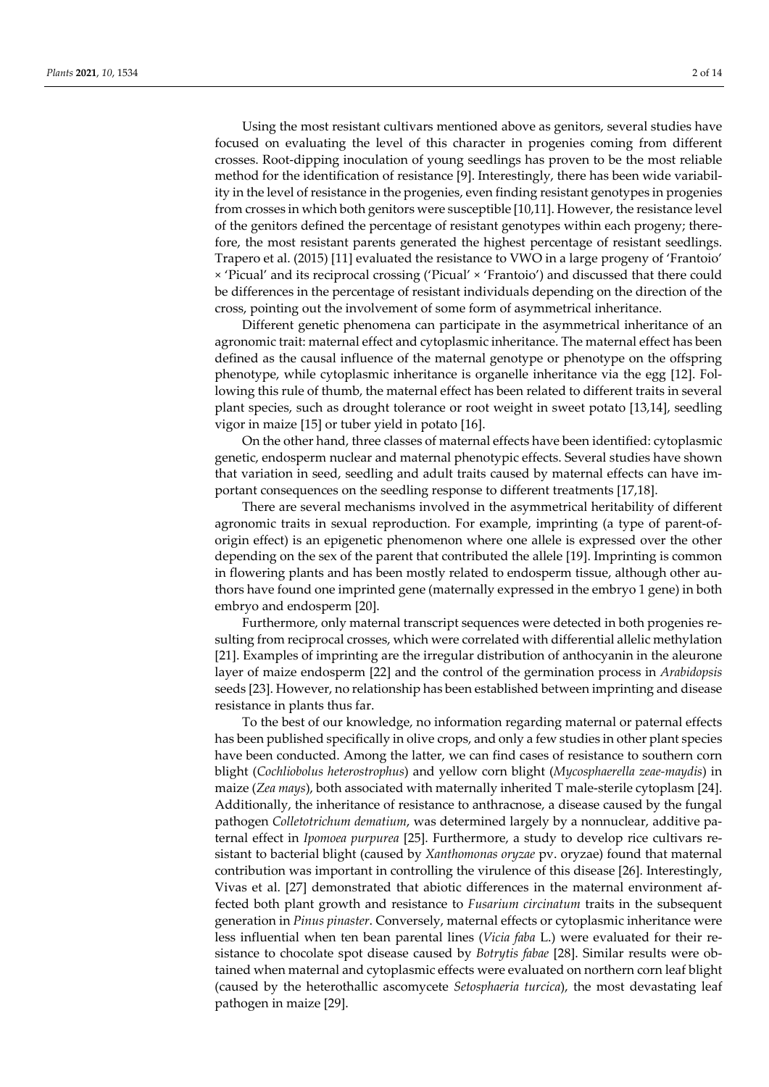Using the most resistant cultivars mentioned above as genitors, several studies have focused on evaluating the level of this character in progenies coming from different crosses. Root-dipping inoculation of young seedlings has proven to be the most reliable method for the identification of resistance [9]. Interestingly, there has been wide variability in the level of resistance in the progenies, even finding resistant genotypes in progenies from crosses in which both genitors were susceptible [10,11]. However, the resistance level of the genitors defined the percentage of resistant genotypes within each progeny; therefore, the most resistant parents generated the highest percentage of resistant seedlings. Trapero et al. (2015) [11] evaluated the resistance to VWO in a large progeny of 'Frantoio' × 'Picual' and its reciprocal crossing ('Picual' × 'Frantoio') and discussed that there could be differences in the percentage of resistant individuals depending on the direction of the cross, pointing out the involvement of some form of asymmetrical inheritance.

Different genetic phenomena can participate in the asymmetrical inheritance of an agronomic trait: maternal effect and cytoplasmic inheritance. The maternal effect has been defined as the causal influence of the maternal genotype or phenotype on the offspring phenotype, while cytoplasmic inheritance is organelle inheritance via the egg [12]. Following this rule of thumb, the maternal effect has been related to different traits in several plant species, such as drought tolerance or root weight in sweet potato [13,14], seedling vigor in maize [15] or tuber yield in potato [16].

On the other hand, three classes of maternal effects have been identified: cytoplasmic genetic, endosperm nuclear and maternal phenotypic effects. Several studies have shown that variation in seed, seedling and adult traits caused by maternal effects can have important consequences on the seedling response to different treatments [17,18].

There are several mechanisms involved in the asymmetrical heritability of different agronomic traits in sexual reproduction. For example, imprinting (a type of parent-oforigin effect) is an epigenetic phenomenon where one allele is expressed over the other depending on the sex of the parent that contributed the allele [19]. Imprinting is common in flowering plants and has been mostly related to endosperm tissue, although other authors have found one imprinted gene (maternally expressed in the embryo 1 gene) in both embryo and endosperm [20].

Furthermore, only maternal transcript sequences were detected in both progenies resulting from reciprocal crosses, which were correlated with differential allelic methylation [21]. Examples of imprinting are the irregular distribution of anthocyanin in the aleurone layer of maize endosperm [22] and the control of the germination process in *Arabidopsis* seeds [23]. However, no relationship has been established between imprinting and disease resistance in plants thus far.

To the best of our knowledge, no information regarding maternal or paternal effects has been published specifically in olive crops, and only a few studies in other plant species have been conducted. Among the latter, we can find cases of resistance to southern corn blight (*Cochliobolus heterostrophus*) and yellow corn blight (*Mycosphaerella zeae-maydis*) in maize (*Zea mays*), both associated with maternally inherited T male-sterile cytoplasm [24]. Additionally, the inheritance of resistance to anthracnose, a disease caused by the fungal pathogen *Colletotrichum dematium*, was determined largely by a nonnuclear, additive paternal effect in *Ipomoea purpurea* [25]. Furthermore, a study to develop rice cultivars resistant to bacterial blight (caused by *Xanthomonas oryzae* pv. oryzae) found that maternal contribution was important in controlling the virulence of this disease [26]. Interestingly, Vivas et al. [27] demonstrated that abiotic differences in the maternal environment affected both plant growth and resistance to *Fusarium circinatum* traits in the subsequent generation in *Pinus pinaster*. Conversely, maternal effects or cytoplasmic inheritance were less influential when ten bean parental lines (*Vicia faba* L.) were evaluated for their resistance to chocolate spot disease caused by *Botrytis fabae* [28]. Similar results were obtained when maternal and cytoplasmic effects were evaluated on northern corn leaf blight (caused by the heterothallic ascomycete *Setosphaeria turcica*), the most devastating leaf pathogen in maize [29].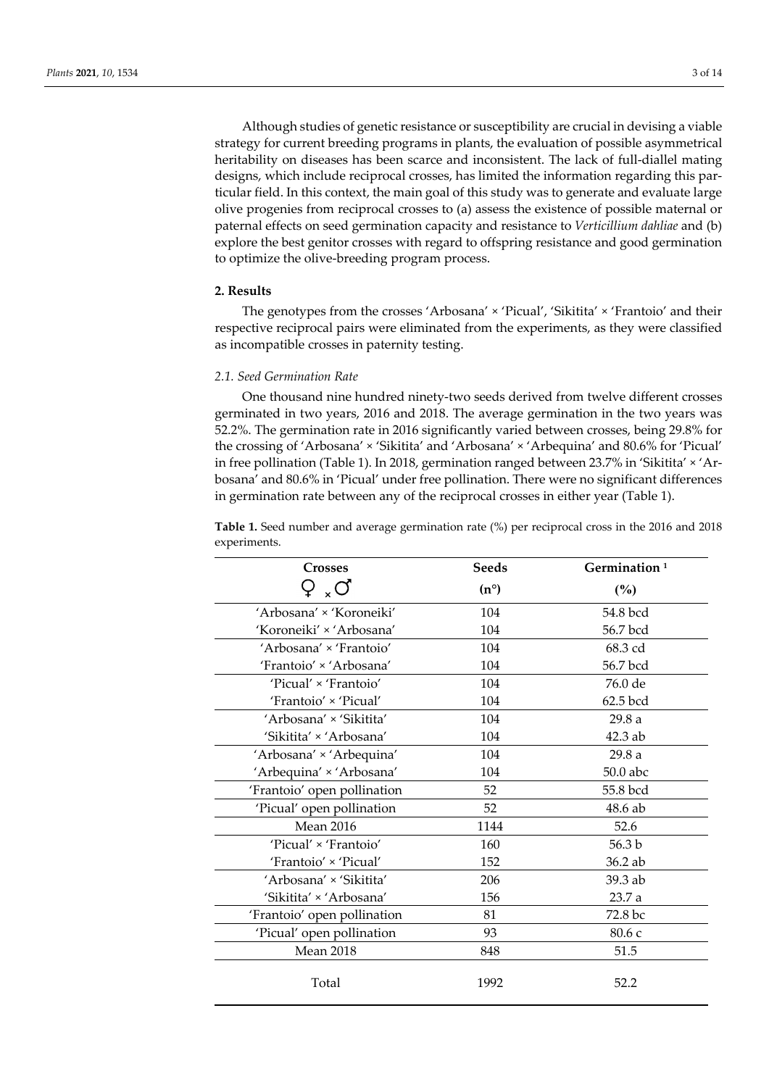Although studies of genetic resistance or susceptibility are crucial in devising a viable strategy for current breeding programs in plants, the evaluation of possible asymmetrical heritability on diseases has been scarce and inconsistent. The lack of full-diallel mating designs, which include reciprocal crosses, has limited the information regarding this particular field. In this context, the main goal of this study was to generate and evaluate large olive progenies from reciprocal crosses to (a) assess the existence of possible maternal or paternal effects on seed germination capacity and resistance to *Verticillium dahliae* and (b) explore the best genitor crosses with regard to offspring resistance and good germination to optimize the olive-breeding program process.

# **2. Results**

The genotypes from the crosses 'Arbosana' × 'Picual', 'Sikitita' × 'Frantoio' and their respective reciprocal pairs were eliminated from the experiments, as they were classified as incompatible crosses in paternity testing.

## *2.1. Seed Germination Rate*

One thousand nine hundred ninety-two seeds derived from twelve different crosses germinated in two years, 2016 and 2018. The average germination in the two years was 52.2%. The germination rate in 2016 significantly varied between crosses, being 29.8% for the crossing of 'Arbosana' × 'Sikitita' and 'Arbosana' × 'Arbequina' and 80.6% for 'Picual' in free pollination (Table 1). In 2018, germination ranged between 23.7% in 'Sikitita' × 'Arbosana' and 80.6% in 'Picual' under free pollination. There were no significant differences in germination rate between any of the reciprocal crosses in either year (Table 1).

| <b>Crosses</b>              | Seeds         | Germination <sup>1</sup><br>(%) |  |
|-----------------------------|---------------|---------------------------------|--|
| $_{\times}$ O               | $(n^{\circ})$ |                                 |  |
| 'Arbosana' × 'Koroneiki'    | 104           | 54.8 bcd                        |  |
| 'Koroneiki' × 'Arbosana'    | 104           | 56.7 bcd                        |  |
| 'Arbosana' × 'Frantoio'     | 104           | 68.3 cd                         |  |
| 'Frantoio' × 'Arbosana'     | 104           | 56.7 bcd                        |  |
| 'Picual' × 'Frantoio'       | 104           | 76.0 de                         |  |
| 'Frantoio' × 'Picual'       | 104           | 62.5 bcd                        |  |
| 'Arbosana' × 'Sikitita'     | 104           | 29.8a                           |  |
| 'Sikitita' × 'Arbosana'     | 104           | $42.3$ ab                       |  |
| 'Arbosana' × 'Arbequina'    | 104           | 29.8a                           |  |
| 'Arbequina' × 'Arbosana'    | 104           | 50.0 abc                        |  |
| 'Frantoio' open pollination | 52            | 55.8 bcd                        |  |
| 'Picual' open pollination   | 52            | $48.6$ ab                       |  |
| <b>Mean 2016</b>            | 1144          | 52.6                            |  |
| 'Picual' × 'Frantoio'       | 160           | 56.3 b                          |  |
| 'Frantoio' × 'Picual'       | 152           | 36.2 ab                         |  |
| 'Arbosana' × 'Sikitita'     | 206           | 39.3 ab                         |  |
| 'Sikitita' × 'Arbosana'     | 156           | 23.7a                           |  |
| 'Frantoio' open pollination | 81            | 72.8 bc                         |  |
| 'Picual' open pollination   | 93            | 80.6 c                          |  |
| <b>Mean 2018</b>            | 848           | 51.5                            |  |
| Total                       | 1992          | 52.2                            |  |

**Table 1.** Seed number and average germination rate (%) per reciprocal cross in the 2016 and 2018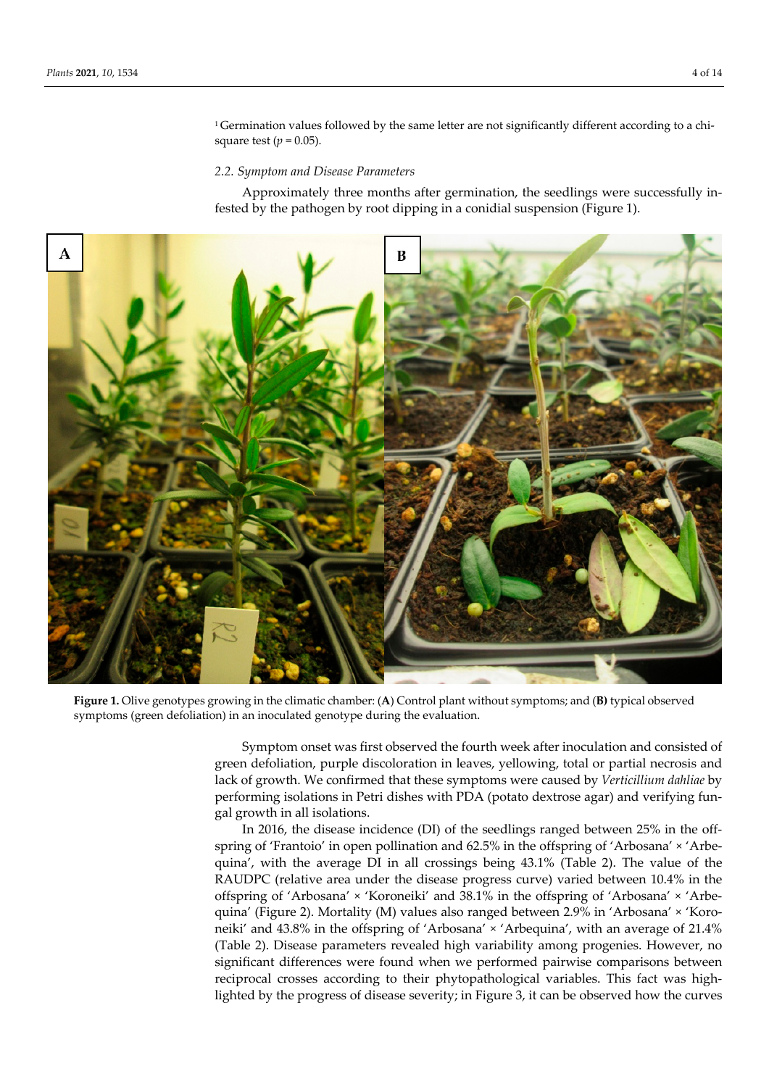<sup>1</sup> Germination values followed by the same letter are not significantly different according to a chisquare test ( $p = 0.05$ ).

#### *2.2. Symptom and Disease Parameters*

Approximately three months after germination, the seedlings were successfully infested by the pathogen by root dipping in a conidial suspension (Figure 1).



**Figure 1.** Olive genotypes growing in the climatic chamber: (**A**) Control plant without symptoms; and (**B)** typical observed symptoms (green defoliation) in an inoculated genotype during the evaluation.

Symptom onset was first observed the fourth week after inoculation and consisted of green defoliation, purple discoloration in leaves, yellowing, total or partial necrosis and lack of growth. We confirmed that these symptoms were caused by *Verticillium dahliae* by performing isolations in Petri dishes with PDA (potato dextrose agar) and verifying fungal growth in all isolations.

In 2016, the disease incidence (DI) of the seedlings ranged between 25% in the offspring of 'Frantoio' in open pollination and 62.5% in the offspring of 'Arbosana' × 'Arbequina', with the average DI in all crossings being 43.1% (Table 2). The value of the RAUDPC (relative area under the disease progress curve) varied between 10.4% in the offspring of 'Arbosana' × 'Koroneiki' and 38.1% in the offspring of 'Arbosana' × 'Arbequina' (Figure 2). Mortality (M) values also ranged between 2.9% in 'Arbosana' × 'Koroneiki' and 43.8% in the offspring of 'Arbosana' × 'Arbequina', with an average of 21.4% (Table 2). Disease parameters revealed high variability among progenies. However, no significant differences were found when we performed pairwise comparisons between reciprocal crosses according to their phytopathological variables. This fact was highlighted by the progress of disease severity; in Figure 3, it can be observed how the curves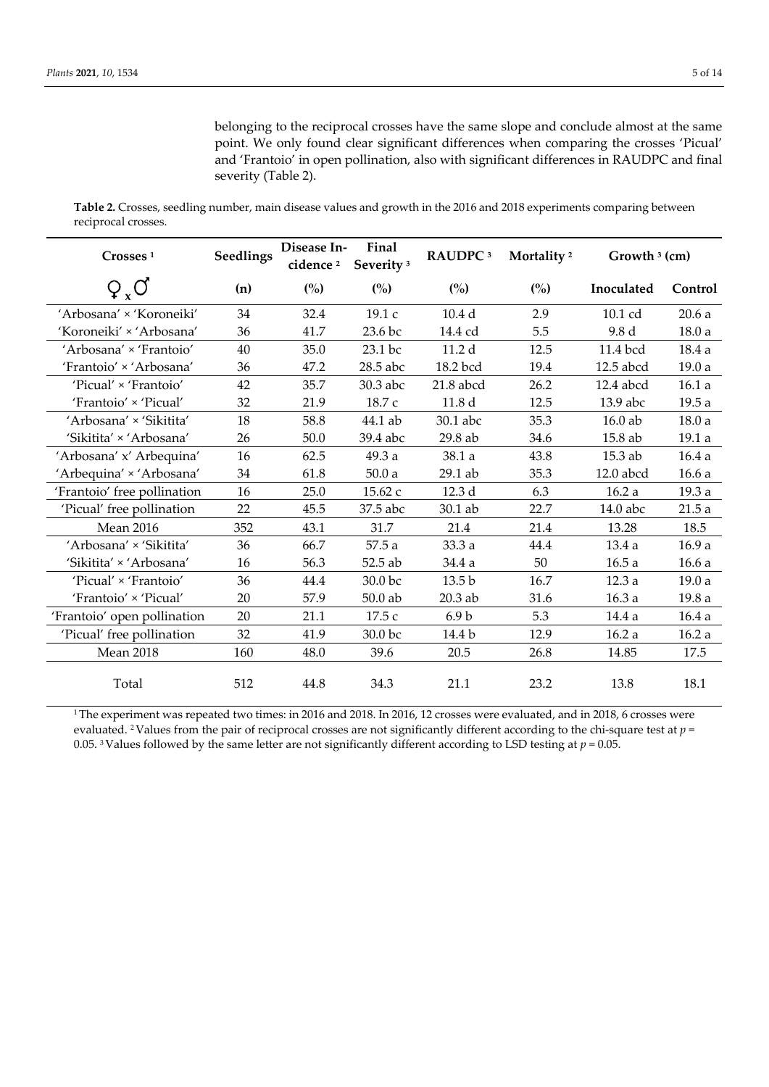belonging to the reciprocal crosses have the same slope and conclude almost at the same point. We only found clear significant differences when comparing the crosses 'Picual' and 'Frantoio' in open pollination, also with significant differences in RAUDPC and final severity (Table 2).

**Table 2.** Crosses, seedling number, main disease values and growth in the 2016 and 2018 experiments comparing between reciprocal crosses.

| Crosses <sup>1</sup>        | <b>Seedlings</b> | Disease In-<br>cidence <sup>2</sup> | Final<br>Severity <sup>3</sup> | RAUDPC <sup>3</sup> | Mortality <sup>2</sup> | Growth $3$ (cm) |         |
|-----------------------------|------------------|-------------------------------------|--------------------------------|---------------------|------------------------|-----------------|---------|
| $Q_{x}O$                    | (n)              | (%)                                 | (%)                            | (%)                 | (%)                    | Inoculated      | Control |
| 'Arbosana' × 'Koroneiki'    | 34               | 32.4                                | 19.1c                          | 10.4 <sub>d</sub>   | 2.9                    | 10.1 cd         | 20.6a   |
| 'Koroneiki' × 'Arbosana'    | 36               | 41.7                                | 23.6 bc                        | 14.4 cd             | 5.5                    | 9.8 d           | 18.0a   |
| 'Arbosana' × 'Frantoio'     | 40               | 35.0                                | 23.1 bc                        | 11.2 d              | 12.5                   | 11.4 bcd        | 18.4a   |
| 'Frantoio' × 'Arbosana'     | 36               | 47.2                                | 28.5 abc                       | 18.2 bcd            | 19.4                   | 12.5 abcd       | 19.0a   |
| 'Picual' × 'Frantoio'       | 42               | 35.7                                | 30.3 abc                       | $21.8$ abcd         | 26.2                   | 12.4 abcd       | 16.1a   |
| 'Frantoio' × 'Picual'       | 32               | 21.9                                | 18.7 c                         | 11.8 d              | 12.5                   | 13.9 abc        | 19.5a   |
| 'Arbosana' × 'Sikitita'     | 18               | 58.8                                | 44.1 ab                        | 30.1 abc            | 35.3                   | $16.0$ ab       | 18.0a   |
| 'Sikitita' × 'Arbosana'     | 26               | 50.0                                | 39.4 abc                       | 29.8 ab             | 34.6                   | 15.8 ab         | 19.1a   |
| 'Arbosana' x' Arbequina'    | 16               | 62.5                                | 49.3 a                         | 38.1 a              | 43.8                   | $15.3$ ab       | 16.4a   |
| 'Arbequina' × 'Arbosana'    | 34               | 61.8                                | 50.0a                          | 29.1 ab             | 35.3                   | 12.0 abcd       | 16.6a   |
| 'Frantoio' free pollination | 16               | 25.0                                | 15.62 с                        | 12.3 d              | 6.3                    | 16.2a           | 19.3 a  |
| 'Picual' free pollination   | 22               | 45.5                                | 37.5 abc                       | 30.1 ab             | 22.7                   | 14.0 abc        | 21.5a   |
| <b>Mean 2016</b>            | 352              | 43.1                                | 31.7                           | 21.4                | 21.4                   | 13.28           | 18.5    |
| 'Arbosana' × 'Sikitita'     | 36               | 66.7                                | 57.5a                          | 33.3a               | 44.4                   | 13.4 a          | 16.9a   |
| 'Sikitita' × 'Arbosana'     | 16               | 56.3                                | 52.5 ab                        | 34.4 a              | 50                     | 16.5a           | 16.6a   |
| 'Picual' × 'Frantoio'       | 36               | 44.4                                | 30.0 bc                        | 13.5 <sub>b</sub>   | 16.7                   | 12.3a           | 19.0a   |
| 'Frantoio' × 'Picual'       | 20               | 57.9                                | $50.0$ ab                      | 20.3 ab             | 31.6                   | 16.3a           | 19.8 a  |
| 'Frantoio' open pollination | 20               | 21.1                                | 17.5 с                         | 6.9 <sub>b</sub>    | 5.3                    | 14.4 a          | 16.4a   |
| 'Picual' free pollination   | 32               | 41.9                                | 30.0 bc                        | 14.4 b              | 12.9                   | 16.2a           | 16.2a   |
| <b>Mean 2018</b>            | 160              | 48.0                                | 39.6                           | 20.5                | 26.8                   | 14.85           | 17.5    |
| Total                       | 512              | 44.8                                | 34.3                           | 21.1                | 23.2                   | 13.8            | 18.1    |

<sup>1</sup>The experiment was repeated two times: in 2016 and 2018. In 2016, 12 crosses were evaluated, and in 2018, 6 crosses were evaluated. 2 Values from the pair of reciprocal crosses are not significantly different according to the chi-square test at *p* = 0.05. <sup>3</sup> Values followed by the same letter are not significantly different according to LSD testing at  $p = 0.05$ .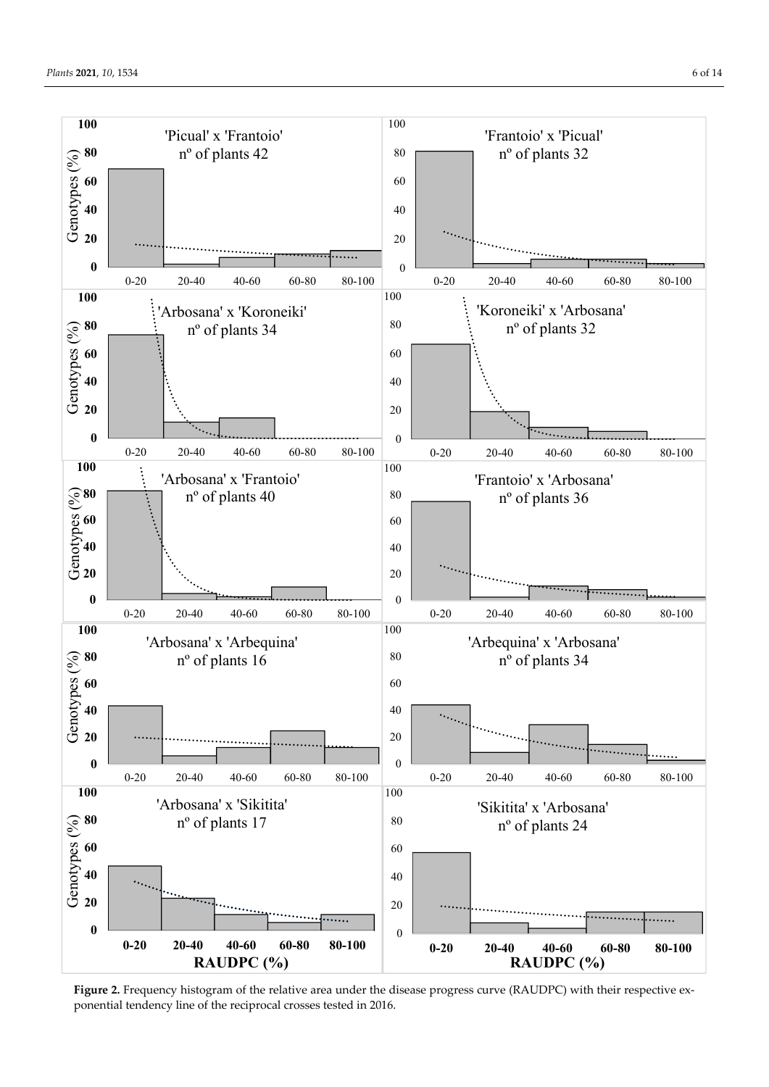

**Figure 2.** Frequency histogram of the relative area under the disease progress curve (RAUDPC) with their respective exponential tendency line of the reciprocal crosses tested in 2016.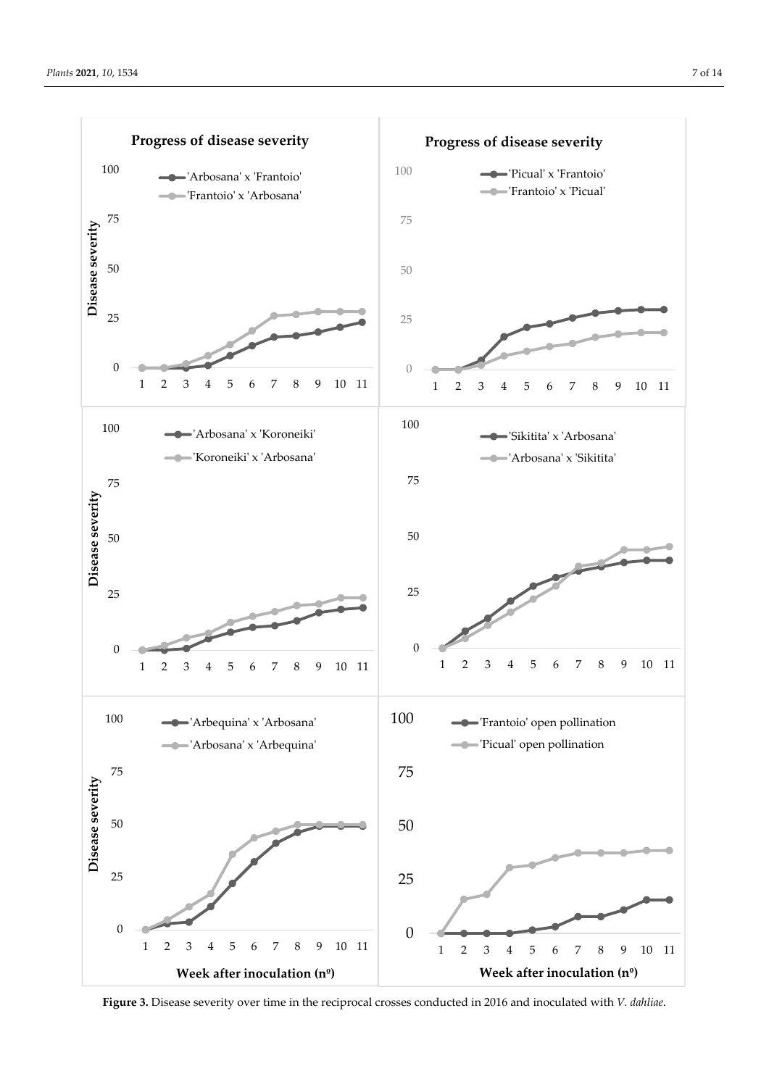

**Figure 3.** Disease severity over time in the reciprocal crosses conducted in 2016 and inoculated with *V. dahliae*.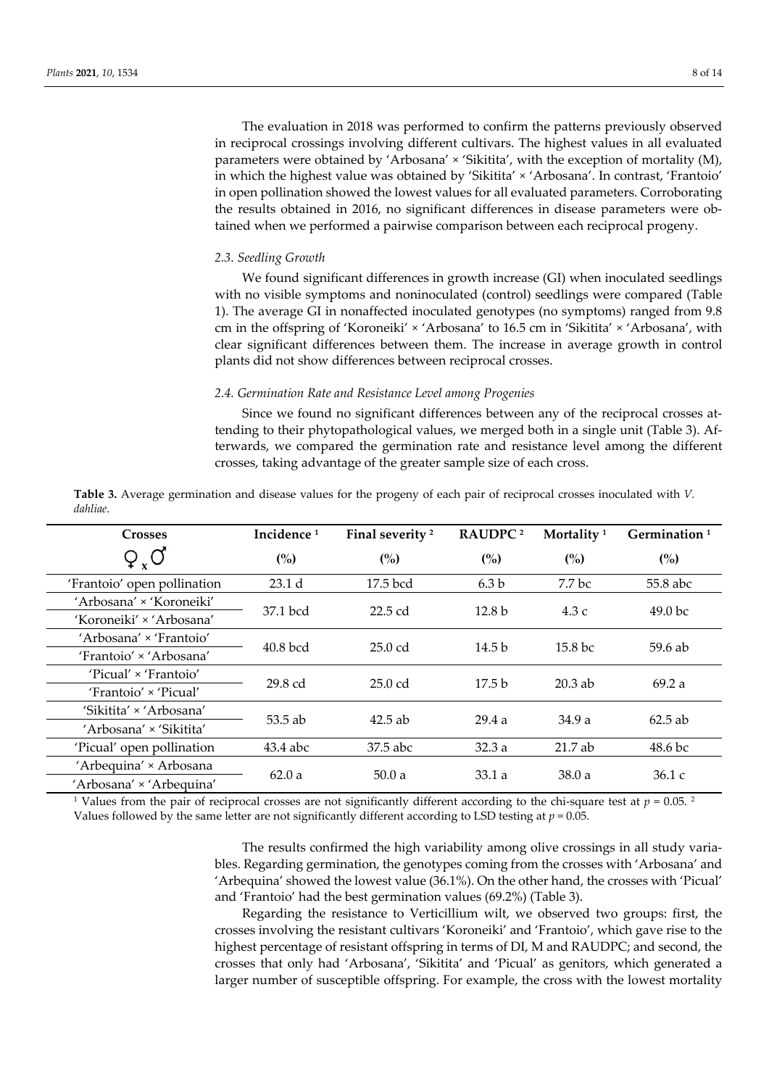The evaluation in 2018 was performed to confirm the patterns previously observed in reciprocal crossings involving different cultivars. The highest values in all evaluated parameters were obtained by 'Arbosana' × 'Sikitita', with the exception of mortality (M), in which the highest value was obtained by 'Sikitita' × 'Arbosana'. In contrast, 'Frantoio' in open pollination showed the lowest values for all evaluated parameters. Corroborating the results obtained in 2016, no significant differences in disease parameters were obtained when we performed a pairwise comparison between each reciprocal progeny.

## *2.3. Seedling Growth*

We found significant differences in growth increase (GI) when inoculated seedlings with no visible symptoms and noninoculated (control) seedlings were compared (Table 1). The average GI in nonaffected inoculated genotypes (no symptoms) ranged from 9.8 cm in the offspring of 'Koroneiki' × 'Arbosana' to 16.5 cm in 'Sikitita' × 'Arbosana', with clear significant differences between them. The increase in average growth in control plants did not show differences between reciprocal crosses.

#### *2.4. Germination Rate and Resistance Level among Progenies*

Since we found no significant differences between any of the reciprocal crosses attending to their phytopathological values, we merged both in a single unit (Table 3). Afterwards, we compared the germination rate and resistance level among the different crosses, taking advantage of the greater sample size of each cross.

| <b>Crosses</b>              | Incidence <sup>1</sup> | Final severity <sup>2</sup> | RAUDPC <sup>2</sup> | Mortality <sup>1</sup> | Germination <sup>1</sup> |
|-----------------------------|------------------------|-----------------------------|---------------------|------------------------|--------------------------|
| $Q_{x}O$                    | (%)                    | (%)                         | (%)                 | (%)                    | (%)                      |
| 'Frantoio' open pollination | 23.1 <sub>d</sub>      | 17.5 bcd                    | 6.3 <sub>b</sub>    | 7.7 bc                 | 55.8 abc                 |
| 'Arbosana' × 'Koroneiki'    | 37.1 bcd               | $22.5$ cd                   | 12.8 <sub>b</sub>   | 4.3c                   | 49.0 <sub>bc</sub>       |
| 'Koroneiki' × 'Arbosana'    |                        |                             |                     |                        |                          |
| 'Arbosana' × 'Frantoio'     | $40.8$ bcd             | $25.0$ cd                   | 14.5 <sub>b</sub>   | 15.8 <sub>bc</sub>     | 59.6 ab                  |
| 'Frantoio' × 'Arbosana'     |                        |                             |                     |                        |                          |
| 'Picual' × 'Frantoio'       | $29.8$ cd              | $25.0$ cd                   | 17.5 <sub>b</sub>   | $20.3$ ab              | 69.2a                    |
| 'Frantoio' × 'Picual'       |                        |                             |                     |                        |                          |
| 'Sikitita' × 'Arbosana'     |                        | $42.5$ ab                   | 29.4a               | 34.9a                  | $62.5$ ab                |
| 'Arbosana' × 'Sikitita'     | 53.5 ab                |                             |                     |                        |                          |
| 'Picual' open pollination   | 43.4 abc               | 37.5 abc                    | 32.3a               | $21.7$ ab              | 48.6 bc                  |
| 'Arbequina' × Arbosana      | 62.0a                  | 50.0a                       | 33.1a               | 38.0a                  | 36.1c                    |
| 'Arbosana' × 'Arbequina'    |                        |                             |                     |                        |                          |

**Table 3.** Average germination and disease values for the progeny of each pair of reciprocal crosses inoculated with *V. dahliae*.

<sup>1</sup> Values from the pair of reciprocal crosses are not significantly different according to the chi-square test at  $p = 0.05$ . <sup>2</sup> Values followed by the same letter are not significantly different according to LSD testing at  $p = 0.05$ .

> The results confirmed the high variability among olive crossings in all study variables. Regarding germination, the genotypes coming from the crosses with 'Arbosana' and 'Arbequina' showed the lowest value (36.1%). On the other hand, the crosses with 'Picual' and 'Frantoio' had the best germination values (69.2%) (Table 3).

> Regarding the resistance to Verticillium wilt, we observed two groups: first, the crosses involving the resistant cultivars 'Koroneiki' and 'Frantoio', which gave rise to the highest percentage of resistant offspring in terms of DI, M and RAUDPC; and second, the crosses that only had 'Arbosana', 'Sikitita' and 'Picual' as genitors, which generated a larger number of susceptible offspring. For example, the cross with the lowest mortality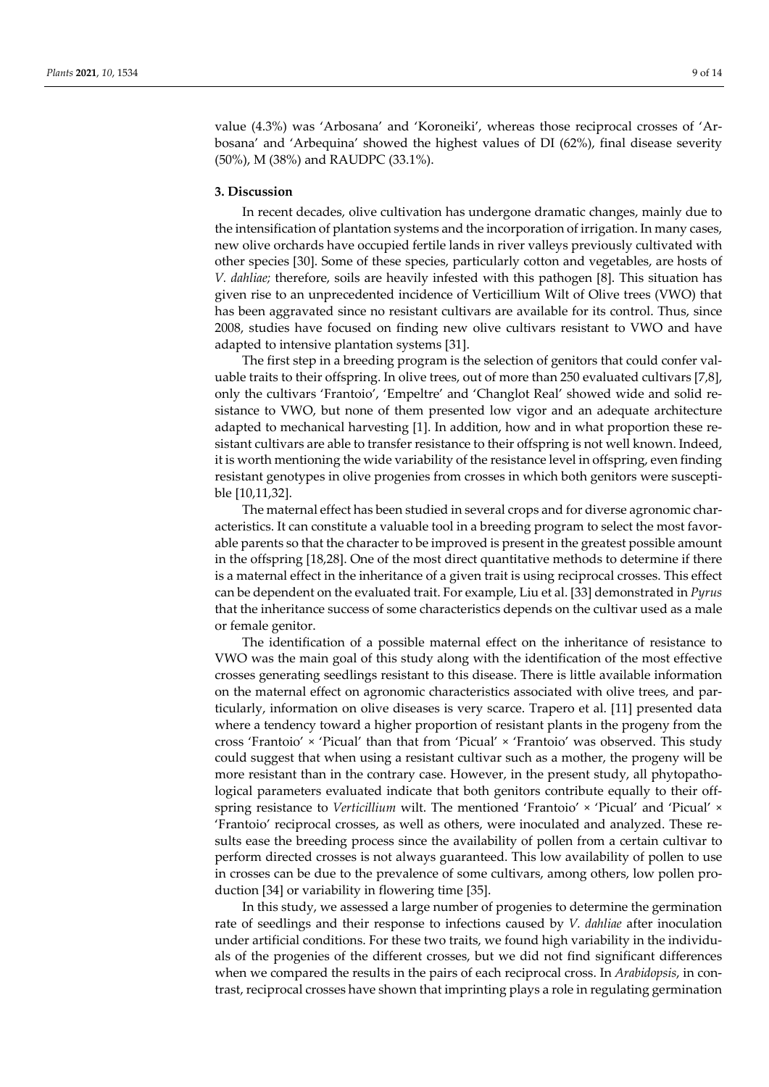value (4.3%) was 'Arbosana' and 'Koroneiki', whereas those reciprocal crosses of 'Arbosana' and 'Arbequina' showed the highest values of DI (62%), final disease severity (50%), M (38%) and RAUDPC (33.1%).

#### **3. Discussion**

In recent decades, olive cultivation has undergone dramatic changes, mainly due to the intensification of plantation systems and the incorporation of irrigation. In many cases, new olive orchards have occupied fertile lands in river valleys previously cultivated with other species [30]. Some of these species, particularly cotton and vegetables, are hosts of *V. dahliae;* therefore, soils are heavily infested with this pathogen [8]. This situation has given rise to an unprecedented incidence of Verticillium Wilt of Olive trees (VWO) that has been aggravated since no resistant cultivars are available for its control. Thus, since 2008, studies have focused on finding new olive cultivars resistant to VWO and have adapted to intensive plantation systems [31].

The first step in a breeding program is the selection of genitors that could confer valuable traits to their offspring. In olive trees, out of more than 250 evaluated cultivars [7,8], only the cultivars 'Frantoio', 'Empeltre' and 'Changlot Real' showed wide and solid resistance to VWO, but none of them presented low vigor and an adequate architecture adapted to mechanical harvesting [1]. In addition, how and in what proportion these resistant cultivars are able to transfer resistance to their offspring is not well known. Indeed, it is worth mentioning the wide variability of the resistance level in offspring, even finding resistant genotypes in olive progenies from crosses in which both genitors were susceptible [10,11,32].

The maternal effect has been studied in several crops and for diverse agronomic characteristics. It can constitute a valuable tool in a breeding program to select the most favorable parents so that the character to be improved is present in the greatest possible amount in the offspring [18,28]. One of the most direct quantitative methods to determine if there is a maternal effect in the inheritance of a given trait is using reciprocal crosses. This effect can be dependent on the evaluated trait. For example, Liu et al. [33] demonstrated in *Pyrus* that the inheritance success of some characteristics depends on the cultivar used as a male or female genitor.

The identification of a possible maternal effect on the inheritance of resistance to VWO was the main goal of this study along with the identification of the most effective crosses generating seedlings resistant to this disease. There is little available information on the maternal effect on agronomic characteristics associated with olive trees, and particularly, information on olive diseases is very scarce. Trapero et al. [11] presented data where a tendency toward a higher proportion of resistant plants in the progeny from the cross 'Frantoio' × 'Picual' than that from 'Picual' × 'Frantoio' was observed. This study could suggest that when using a resistant cultivar such as a mother, the progeny will be more resistant than in the contrary case. However, in the present study, all phytopathological parameters evaluated indicate that both genitors contribute equally to their offspring resistance to *Verticillium* wilt. The mentioned 'Frantoio' × 'Picual' and 'Picual' × 'Frantoio' reciprocal crosses, as well as others, were inoculated and analyzed. These results ease the breeding process since the availability of pollen from a certain cultivar to perform directed crosses is not always guaranteed. This low availability of pollen to use in crosses can be due to the prevalence of some cultivars, among others, low pollen production [34] or variability in flowering time [35].

In this study, we assessed a large number of progenies to determine the germination rate of seedlings and their response to infections caused by *V. dahliae* after inoculation under artificial conditions. For these two traits, we found high variability in the individuals of the progenies of the different crosses, but we did not find significant differences when we compared the results in the pairs of each reciprocal cross. In *Arabidopsis*, in contrast, reciprocal crosses have shown that imprinting plays a role in regulating germination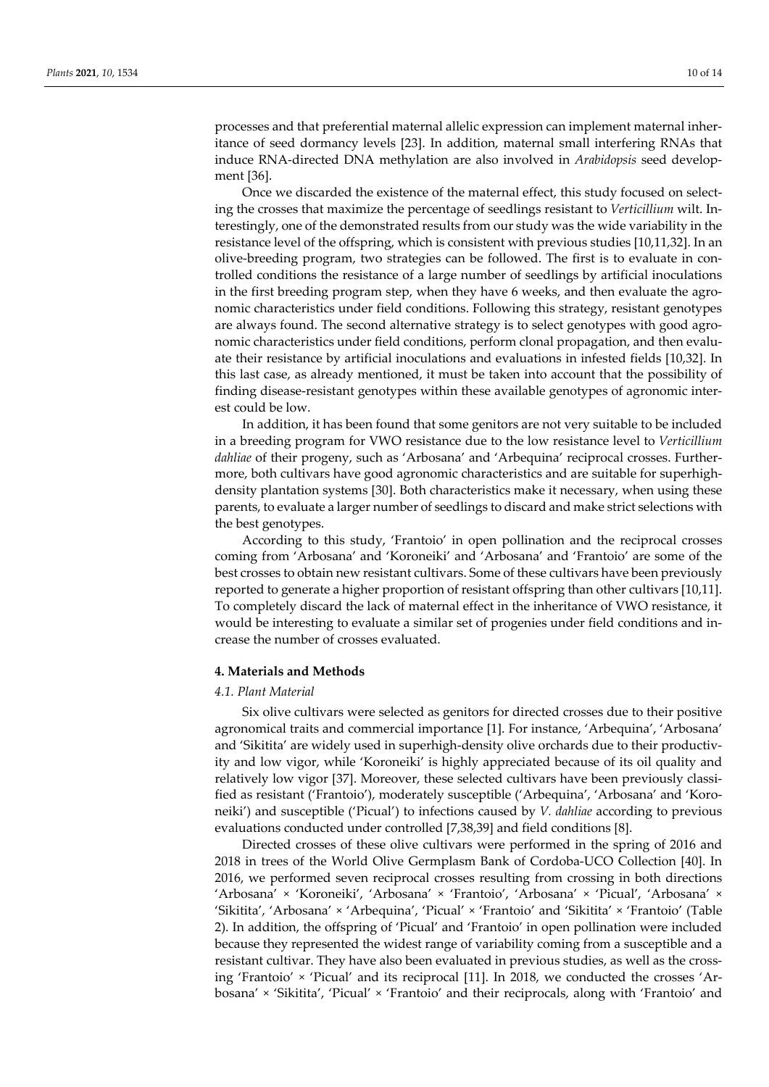processes and that preferential maternal allelic expression can implement maternal inheritance of seed dormancy levels [23]. In addition, maternal small interfering RNAs that induce RNA-directed DNA methylation are also involved in *Arabidopsis* seed development [36].

Once we discarded the existence of the maternal effect, this study focused on selecting the crosses that maximize the percentage of seedlings resistant to *Verticillium* wilt. Interestingly, one of the demonstrated results from our study was the wide variability in the resistance level of the offspring, which is consistent with previous studies [10,11,32]. In an olive-breeding program, two strategies can be followed. The first is to evaluate in controlled conditions the resistance of a large number of seedlings by artificial inoculations in the first breeding program step, when they have 6 weeks, and then evaluate the agronomic characteristics under field conditions. Following this strategy, resistant genotypes are always found. The second alternative strategy is to select genotypes with good agronomic characteristics under field conditions, perform clonal propagation, and then evaluate their resistance by artificial inoculations and evaluations in infested fields [10,32]. In this last case, as already mentioned, it must be taken into account that the possibility of finding disease-resistant genotypes within these available genotypes of agronomic interest could be low.

In addition, it has been found that some genitors are not very suitable to be included in a breeding program for VWO resistance due to the low resistance level to *Verticillium dahliae* of their progeny, such as 'Arbosana' and 'Arbequina' reciprocal crosses. Furthermore, both cultivars have good agronomic characteristics and are suitable for superhighdensity plantation systems [30]. Both characteristics make it necessary, when using these parents, to evaluate a larger number of seedlings to discard and make strict selections with the best genotypes.

According to this study, 'Frantoio' in open pollination and the reciprocal crosses coming from 'Arbosana' and 'Koroneiki' and 'Arbosana' and 'Frantoio' are some of the best crosses to obtain new resistant cultivars. Some of these cultivars have been previously reported to generate a higher proportion of resistant offspring than other cultivars [10,11]. To completely discard the lack of maternal effect in the inheritance of VWO resistance, it would be interesting to evaluate a similar set of progenies under field conditions and increase the number of crosses evaluated.

## **4. Materials and Methods**

#### *4.1. Plant Material*

Six olive cultivars were selected as genitors for directed crosses due to their positive agronomical traits and commercial importance [1]. For instance, 'Arbequina', 'Arbosana' and 'Sikitita' are widely used in superhigh-density olive orchards due to their productivity and low vigor, while 'Koroneiki' is highly appreciated because of its oil quality and relatively low vigor [37]. Moreover, these selected cultivars have been previously classified as resistant ('Frantoio'), moderately susceptible ('Arbequina', 'Arbosana' and 'Koroneiki') and susceptible ('Picual') to infections caused by *V. dahliae* according to previous evaluations conducted under controlled [7,38,39] and field conditions [8].

Directed crosses of these olive cultivars were performed in the spring of 2016 and 2018 in trees of the World Olive Germplasm Bank of Cordoba-UCO Collection [40]. In 2016, we performed seven reciprocal crosses resulting from crossing in both directions 'Arbosana' × 'Koroneiki', 'Arbosana' × 'Frantoio', 'Arbosana' × 'Picual', 'Arbosana' × 'Sikitita', 'Arbosana' × 'Arbequina', 'Picual' × 'Frantoio' and 'Sikitita' × 'Frantoio' (Table 2). In addition, the offspring of 'Picual' and 'Frantoio' in open pollination were included because they represented the widest range of variability coming from a susceptible and a resistant cultivar. They have also been evaluated in previous studies, as well as the crossing 'Frantoio' × 'Picual' and its reciprocal [11]. In 2018, we conducted the crosses 'Arbosana' × 'Sikitita', 'Picual' × 'Frantoio' and their reciprocals, along with 'Frantoio' and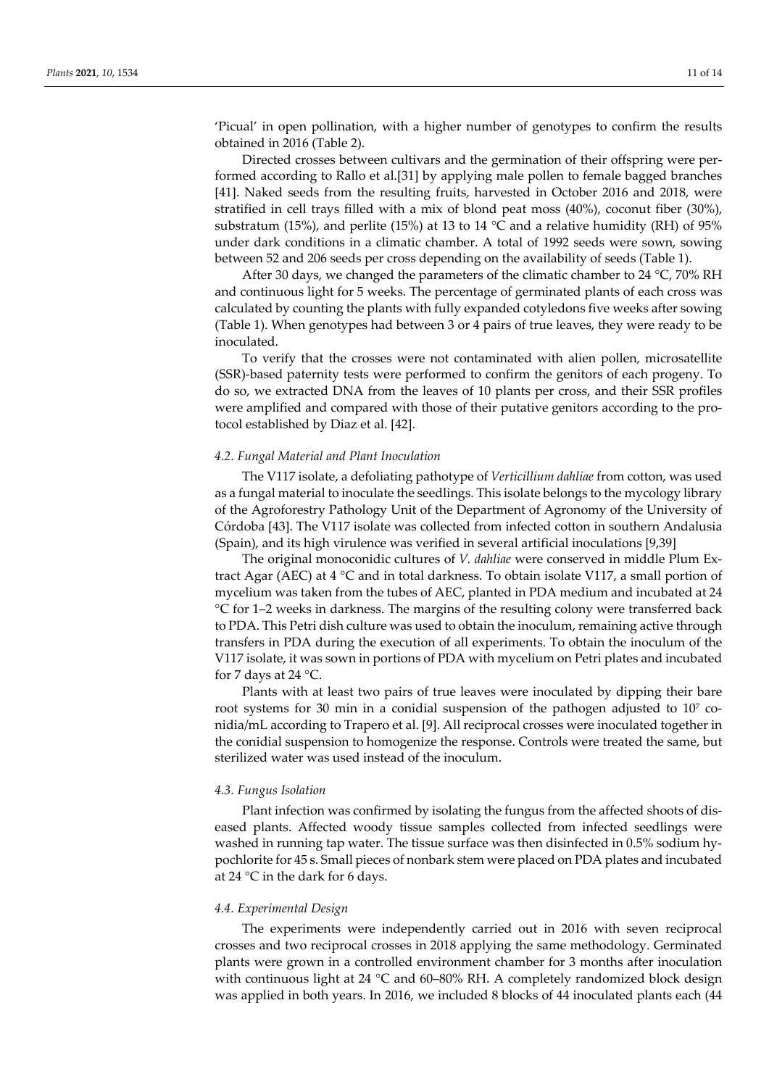'Picual' in open pollination, with a higher number of genotypes to confirm the results obtained in 2016 (Table 2).

Directed crosses between cultivars and the germination of their offspring were performed according to Rallo et al.[31] by applying male pollen to female bagged branches [41]. Naked seeds from the resulting fruits, harvested in October 2016 and 2018, were stratified in cell trays filled with a mix of blond peat moss (40%), coconut fiber (30%), substratum (15%), and perlite (15%) at 13 to 14  $^{\circ}$ C and a relative humidity (RH) of 95% under dark conditions in a climatic chamber. A total of 1992 seeds were sown, sowing between 52 and 206 seeds per cross depending on the availability of seeds (Table 1).

After 30 days, we changed the parameters of the climatic chamber to 24  $^{\circ}$ C, 70% RH and continuous light for 5 weeks. The percentage of germinated plants of each cross was calculated by counting the plants with fully expanded cotyledons five weeks after sowing (Table 1). When genotypes had between 3 or 4 pairs of true leaves, they were ready to be inoculated.

To verify that the crosses were not contaminated with alien pollen, microsatellite (SSR)-based paternity tests were performed to confirm the genitors of each progeny. To do so, we extracted DNA from the leaves of 10 plants per cross, and their SSR profiles were amplified and compared with those of their putative genitors according to the protocol established by Diaz et al. [42].

#### *4.2. Fungal Material and Plant Inoculation*

The V117 isolate, a defoliating pathotype of *Verticillium dahliae* from cotton, was used as a fungal material to inoculate the seedlings. This isolate belongs to the mycology library of the Agroforestry Pathology Unit of the Department of Agronomy of the University of Córdoba [43]. The V117 isolate was collected from infected cotton in southern Andalusia (Spain), and its high virulence was verified in several artificial inoculations [9,39]

The original monoconidic cultures of *V. dahliae* were conserved in middle Plum Extract Agar (AEC) at  $4 \degree$ C and in total darkness. To obtain isolate V117, a small portion of mycelium was taken from the tubes of AEC, planted in PDA medium and incubated at 24 °C for 1–2 weeks in darkness. The margins of the resulting colony were transferred back to PDA. This Petri dish culture was used to obtain the inoculum, remaining active through transfers in PDA during the execution of all experiments. To obtain the inoculum of the V117 isolate, it was sown in portions of PDA with mycelium on Petri plates and incubated for 7 days at 24 °C.

Plants with at least two pairs of true leaves were inoculated by dipping their bare root systems for 30 min in a conidial suspension of the pathogen adjusted to 107 conidia/mL according to Trapero et al. [9]. All reciprocal crosses were inoculated together in the conidial suspension to homogenize the response. Controls were treated the same, but sterilized water was used instead of the inoculum.

#### *4.3. Fungus Isolation*

Plant infection was confirmed by isolating the fungus from the affected shoots of diseased plants. Affected woody tissue samples collected from infected seedlings were washed in running tap water. The tissue surface was then disinfected in 0.5% sodium hypochlorite for 45 s. Small pieces of nonbark stem were placed on PDA plates and incubated at 24 °C in the dark for 6 days.

### *4.4. Experimental Design*

The experiments were independently carried out in 2016 with seven reciprocal crosses and two reciprocal crosses in 2018 applying the same methodology. Germinated plants were grown in a controlled environment chamber for 3 months after inoculation with continuous light at 24 °C and 60–80% RH. A completely randomized block design was applied in both years. In 2016, we included 8 blocks of 44 inoculated plants each (44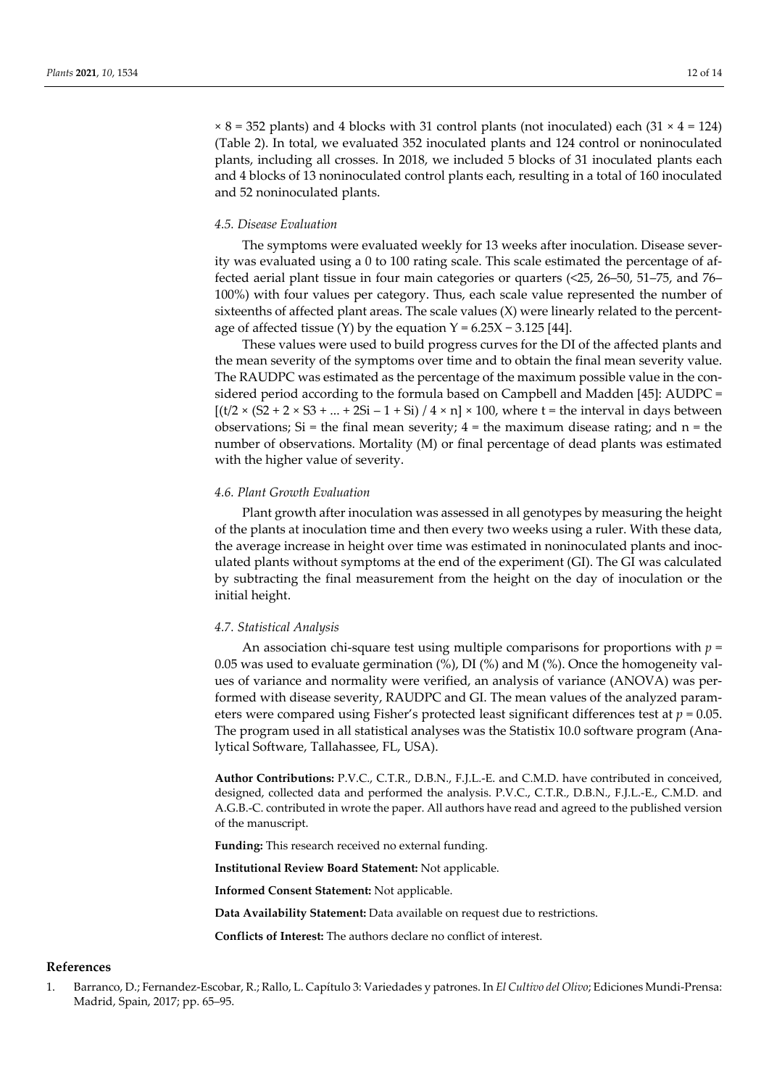$\times$  8 = 352 plants) and 4 blocks with 31 control plants (not inoculated) each (31  $\times$  4 = 124) (Table 2). In total, we evaluated 352 inoculated plants and 124 control or noninoculated plants, including all crosses. In 2018, we included 5 blocks of 31 inoculated plants each and 4 blocks of 13 noninoculated control plants each, resulting in a total of 160 inoculated and 52 noninoculated plants.

## *4.5. Disease Evaluation*

The symptoms were evaluated weekly for 13 weeks after inoculation. Disease severity was evaluated using a 0 to 100 rating scale. This scale estimated the percentage of affected aerial plant tissue in four main categories or quarters (<25, 26–50, 51–75, and 76– 100%) with four values per category. Thus, each scale value represented the number of sixteenths of affected plant areas. The scale values  $(X)$  were linearly related to the percentage of affected tissue (Y) by the equation  $Y = 6.25X - 3.125$  [44].

These values were used to build progress curves for the DI of the affected plants and the mean severity of the symptoms over time and to obtain the final mean severity value. The RAUDPC was estimated as the percentage of the maximum possible value in the considered period according to the formula based on Campbell and Madden [45]: AUDPC =  $[(t/2 \times (S2 + 2 \times S3 + ... + 2Si - 1 + Si) / 4 \times n] \times 100$ , where t = the interval in days between observations; Si = the final mean severity;  $4$  = the maximum disease rating; and  $n$  = the number of observations. Mortality (M) or final percentage of dead plants was estimated with the higher value of severity.

## *4.6. Plant Growth Evaluation*

Plant growth after inoculation was assessed in all genotypes by measuring the height of the plants at inoculation time and then every two weeks using a ruler. With these data, the average increase in height over time was estimated in noninoculated plants and inoculated plants without symptoms at the end of the experiment (GI). The GI was calculated by subtracting the final measurement from the height on the day of inoculation or the initial height.

#### *4.7. Statistical Analysis*

An association chi-square test using multiple comparisons for proportions with *p* = 0.05 was used to evaluate germination (%), DI (%) and M (%). Once the homogeneity values of variance and normality were verified, an analysis of variance (ANOVA) was performed with disease severity, RAUDPC and GI. The mean values of the analyzed parameters were compared using Fisher's protected least significant differences test at *p* = 0.05. The program used in all statistical analyses was the Statistix 10.0 software program (Analytical Software, Tallahassee, FL, USA).

**Author Contributions:** P.V.C., C.T.R., D.B.N., F.J.L.-E. and C.M.D. have contributed in conceived, designed, collected data and performed the analysis. P.V.C., C.T.R., D.B.N., F.J.L.-E., C.M.D. and A.G.B.-C. contributed in wrote the paper. All authors have read and agreed to the published version of the manuscript.

**Funding:** This research received no external funding.

**Institutional Review Board Statement:** Not applicable.

**Informed Consent Statement:** Not applicable.

**Data Availability Statement:** Data available on request due to restrictions.

**Conflicts of Interest:** The authors declare no conflict of interest.

#### **References**

1. Barranco, D.; Fernandez-Escobar, R.; Rallo, L. Capítulo 3: Variedades y patrones. In *El Cultivo del Olivo*; Ediciones Mundi-Prensa: Madrid, Spain, 2017; pp. 65–95.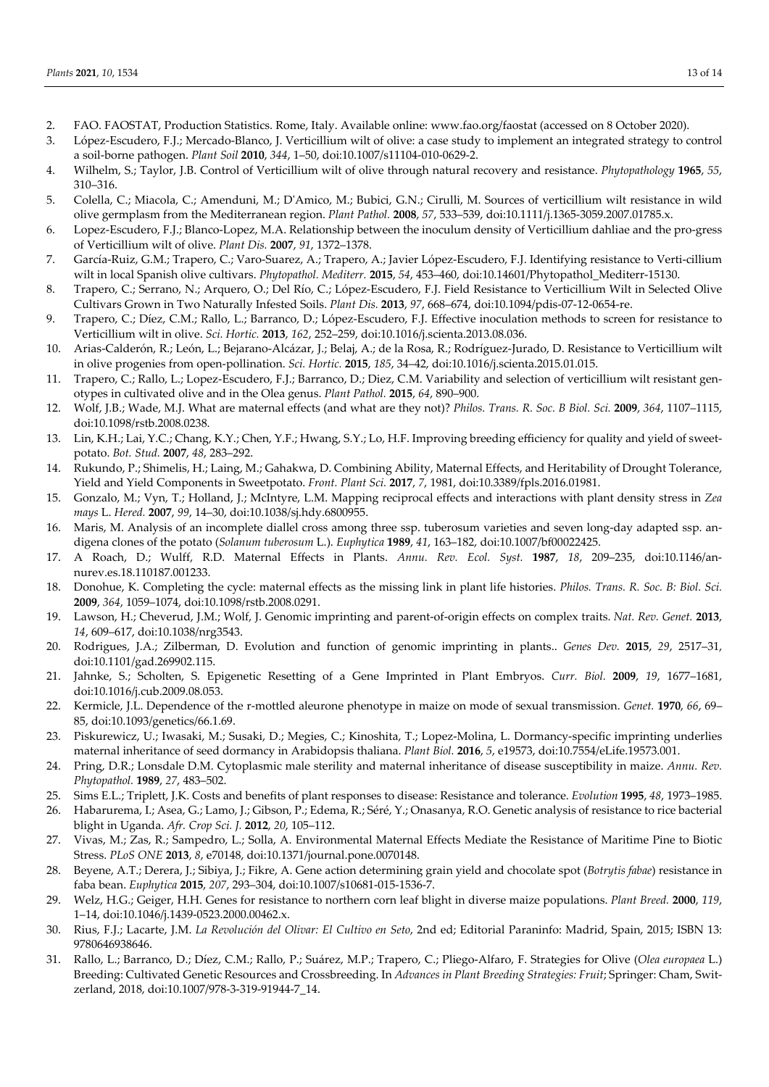- 2. FAO. FAOSTAT, Production Statistics. Rome, Italy. Available online: www.fao.org/faostat (accessed on 8 October 2020).
- 3. López-Escudero, F.J.; Mercado-Blanco, J. Verticillium wilt of olive: a case study to implement an integrated strategy to control a soil-borne pathogen. *Plant Soil* **2010**, *344*, 1–50, doi:10.1007/s11104-010-0629-2.
- 4. Wilhelm, S.; Taylor, J.B. Control of Verticillium wilt of olive through natural recovery and resistance. *Phytopathology* **1965**, *55*, 310–316.
- 5. Colella, C.; Miacola, C.; Amenduni, M.; D'Amico, M.; Bubici, G.N.; Cirulli, M. Sources of verticillium wilt resistance in wild olive germplasm from the Mediterranean region. *Plant Pathol.* **2008**, *57*, 533–539, doi:10.1111/j.1365-3059.2007.01785.x.
- 6. Lopez-Escudero, F.J.; Blanco-Lopez, M.A. Relationship between the inoculum density of Verticillium dahliae and the pro-gress of Verticillium wilt of olive. *Plant Dis.* **2007**, *91*, 1372–1378.
- 7. García-Ruiz, G.M.; Trapero, C.; Varo-Suarez, A.; Trapero, A.; Javier López-Escudero, F.J. Identifying resistance to Verti-cillium wilt in local Spanish olive cultivars. *Phytopathol. Mediterr.* **2015**, *54*, 453–460, doi:10.14601/Phytopathol\_Mediterr-15130.
- 8. Trapero, C.; Serrano, N.; Arquero, O.; Del Río, C.; López-Escudero, F.J. Field Resistance to Verticillium Wilt in Selected Olive Cultivars Grown in Two Naturally Infested Soils. *Plant Dis.* **2013**, *97*, 668–674, doi:10.1094/pdis-07-12-0654-re.
- 9. Trapero, C.; Díez, C.M.; Rallo, L.; Barranco, D.; López-Escudero, F.J. Effective inoculation methods to screen for resistance to Verticillium wilt in olive. *Sci. Hortic.* **2013**, *162*, 252–259, doi:10.1016/j.scienta.2013.08.036.
- 10. Arias-Calderón, R.; León, L.; Bejarano-Alcázar, J.; Belaj, A.; de la Rosa, R.; Rodríguez-Jurado, D. Resistance to Verticillium wilt in olive progenies from open-pollination. *Sci. Hortic.* **2015**, *185*, 34–42, doi:10.1016/j.scienta.2015.01.015.
- 11. Trapero, C.; Rallo, L.; Lopez-Escudero, F.J.; Barranco, D.; Diez, C.M. Variability and selection of verticillium wilt resistant genotypes in cultivated olive and in the Olea genus. *Plant Pathol.* **2015**, *64*, 890–900.
- 12. Wolf, J.B.; Wade, M.J. What are maternal effects (and what are they not)? *Philos. Trans. R. Soc. B Biol. Sci.* **2009**, *364*, 1107–1115, doi:10.1098/rstb.2008.0238.
- 13. Lin, K.H.; Lai, Y.C.; Chang, K.Y.; Chen, Y.F.; Hwang, S.Y.; Lo, H.F. Improving breeding efficiency for quality and yield of sweetpotato. *Bot. Stud.* **2007**, *48*, 283–292.
- 14. Rukundo, P.; Shimelis, H.; Laing, M.; Gahakwa, D. Combining Ability, Maternal Effects, and Heritability of Drought Tolerance, Yield and Yield Components in Sweetpotato. *Front. Plant Sci.* **2017**, *7*, 1981, doi:10.3389/fpls.2016.01981.
- 15. Gonzalo, M.; Vyn, T.; Holland, J.; McIntyre, L.M. Mapping reciprocal effects and interactions with plant density stress in *Zea mays* L. *Hered.* **2007**, *99*, 14–30, doi:10.1038/sj.hdy.6800955.
- 16. Maris, M. Analysis of an incomplete diallel cross among three ssp. tuberosum varieties and seven long-day adapted ssp. andigena clones of the potato (*Solanum tuberosum* L.). *Euphytica* **1989**, *41*, 163–182, doi:10.1007/bf00022425.
- 17. A Roach, D.; Wulff, R.D. Maternal Effects in Plants. *Annu. Rev. Ecol. Syst.* **1987**, *18*, 209–235, doi:10.1146/annurev.es.18.110187.001233.
- 18. Donohue, K. Completing the cycle: maternal effects as the missing link in plant life histories. *Philos. Trans. R. Soc. B: Biol. Sci.* **2009**, *364*, 1059–1074, doi:10.1098/rstb.2008.0291.
- 19. Lawson, H.; Cheverud, J.M.; Wolf, J. Genomic imprinting and parent-of-origin effects on complex traits. *Nat. Rev. Genet.* **2013**, *14*, 609–617, doi:10.1038/nrg3543.
- 20. Rodrigues, J.A.; Zilberman, D. Evolution and function of genomic imprinting in plants.. *Genes Dev.* **2015**, *29*, 2517–31, doi:10.1101/gad.269902.115.
- 21. Jahnke, S.; Scholten, S. Epigenetic Resetting of a Gene Imprinted in Plant Embryos. *Curr. Biol.* **2009**, *19*, 1677–1681, doi:10.1016/j.cub.2009.08.053.
- 22. Kermicle, J.L. Dependence of the r-mottled aleurone phenotype in maize on mode of sexual transmission. *Genet.* **1970**, *66*, 69– 85, doi:10.1093/genetics/66.1.69.
- 23. Piskurewicz, U.; Iwasaki, M.; Susaki, D.; Megies, C.; Kinoshita, T.; Lopez-Molina, L. Dormancy-specific imprinting underlies maternal inheritance of seed dormancy in Arabidopsis thaliana. *Plant Biol.* **2016**, *5*, e19573, doi:10.7554/eLife.19573.001.
- 24. Pring, D.R.; Lonsdale D.M. Cytoplasmic male sterility and maternal inheritance of disease susceptibility in maize. *Annu. Rev. Phytopathol.* **1989**, *27*, 483–502.
- 25. Sims E.L.; Triplett, J.K. Costs and benefits of plant responses to disease: Resistance and tolerance. *Evolution* **1995**, *48*, 1973–1985.
- 26. Habarurema, I.; Asea, G.; Lamo, J.; Gibson, P.; Edema, R.; Séré, Y.; Onasanya, R.O. Genetic analysis of resistance to rice bacterial blight in Uganda. *Afr. Crop Sci. J.* **2012**, *20*, 105–112.
- 27. Vivas, M.; Zas, R.; Sampedro, L.; Solla, A. Environmental Maternal Effects Mediate the Resistance of Maritime Pine to Biotic Stress. *PLoS ONE* **2013**, *8*, e70148, doi:10.1371/journal.pone.0070148.
- 28. Beyene, A.T.; Derera, J.; Sibiya, J.; Fikre, A. Gene action determining grain yield and chocolate spot (*Botrytis fabae*) resistance in faba bean. *Euphytica* **2015**, *207*, 293–304, doi:10.1007/s10681-015-1536-7.
- 29. Welz, H.G.; Geiger, H.H. Genes for resistance to northern corn leaf blight in diverse maize populations. *Plant Breed.* **2000**, *119*, 1–14, doi:10.1046/j.1439-0523.2000.00462.x.
- 30. Rius, F.J.; Lacarte, J.M. *La Revolución del Olivar: El Cultivo en Seto*, 2nd ed; Editorial Paraninfo: Madrid, Spain, 2015; ISBN 13: 9780646938646.
- 31. Rallo, L.; Barranco, D.; Díez, C.M.; Rallo, P.; Suárez, M.P.; Trapero, C.; Pliego-Alfaro, F. Strategies for Olive (*Olea europaea* L.) Breeding: Cultivated Genetic Resources and Crossbreeding. In *Advances in Plant Breeding Strategies: Fruit*; Springer: Cham, Switzerland, 2018, doi:10.1007/978-3-319-91944-7\_14.